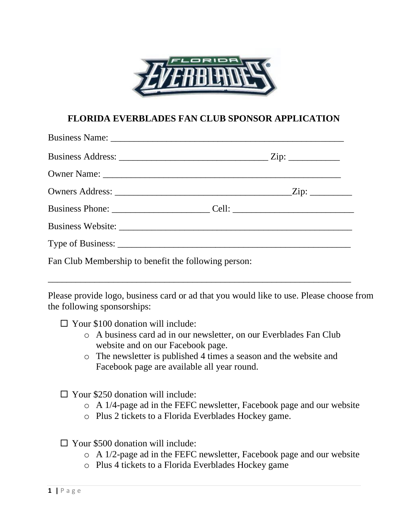

## **FLORIDA EVERBLADES FAN CLUB SPONSOR APPLICATION**

| Fan Club Membership to benefit the following person: |  |  |  |
|------------------------------------------------------|--|--|--|

\_\_\_\_\_\_\_\_\_\_\_\_\_\_\_\_\_\_\_\_\_\_\_\_\_\_\_\_\_\_\_\_\_\_\_\_\_\_\_\_\_\_\_\_\_\_\_\_\_\_\_\_\_\_\_\_\_\_\_\_\_\_\_\_\_

Please provide logo, business card or ad that you would like to use. Please choose from the following sponsorships:

- $\Box$  Your \$100 donation will include:
	- o A business card ad in our newsletter, on our Everblades Fan Club website and on our Facebook page.
	- o The newsletter is published 4 times a season and the website and Facebook page are available all year round.
- $\Box$  Your \$250 donation will include:
	- o A 1/4-page ad in the FEFC newsletter, Facebook page and our website
	- o Plus 2 tickets to a Florida Everblades Hockey game.

 $\Box$  Your \$500 donation will include:

- o A 1/2-page ad in the FEFC newsletter, Facebook page and our website
- o Plus 4 tickets to a Florida Everblades Hockey game